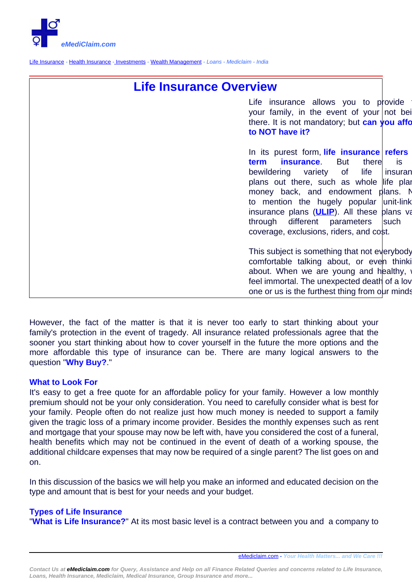

[Life Insurance](http://www.emediclaim.com/life-insurance.html) - [Health Insurance](http://www.emediclaim.com/health-and-car-insurance.html) - [Investments](http://www.gerawealthcreators.com) - [Wealth Management](http://www.emediclaim.com/investment.html) - Loans - Mediclaim - India

## **Life Insurance Overview**

Life insurance allows you to provide your family, in the event of your not being there. It is not mandatory; but **can you afform to NOT have it?**

In its purest form, **life insurance** refers **term insurance**. But there is bewildering variety of life insuran plans out there, such as whole life plan money back, and endowment plans. No to mention the hugely popular unit-link insurance plans (**[ULIP](index.php?option=com_content&view=article&id=67:ulips-systematic-insurance-cum-investment-plan-&catid=35&Itemid=186)**). All these plans va through different parameters such coverage, exclusions, riders, and cost.

This subject is something that not everybody comfortable talking about, or even thinking about. When we are young and healthy, feel immortal. The unexpected death of a love one or us is the furthest thing from our minds.

However, the fact of the matter is that it is never too early to start thinking about your family's protection in the event of tragedy. All insurance related professionals agree that the sooner you start thinking about how to cover yourself in the future the more options and the more affordable this type of insurance can be. There are many logical answers to the question "**Why Buy?**."

## **What to Look For**

It's easy to get a free quote for an affordable policy for your family. However a low monthly premium should not be your only consideration. You need to carefully consider what is best for your family. People often do not realize just how much money is needed to support a family given the tragic loss of a primary income provider. Besides the monthly expenses such as rent and mortgage that your spouse may now be left with, have you considered the cost of a funeral, health benefits which may not be continued in the event of death of a working spouse, the additional childcare expenses that may now be required of a single parent? The list goes on and on.

In this discussion of the basics we will help you make an informed and educated decision on the type and amount that is best for your needs and your budget.

## **Types of Life Insurance**

"**What is Life Insurance?**" At its most basic level is a contract between you and a company to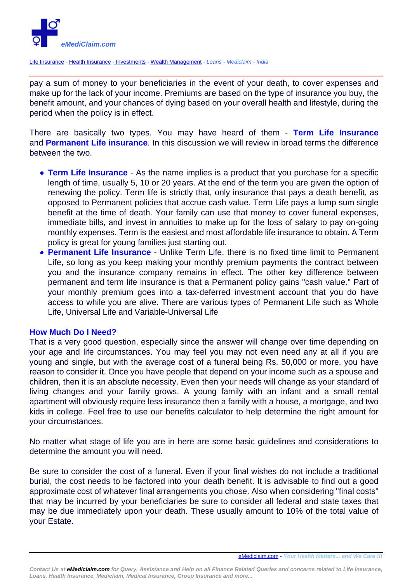

[Life Insurance](http://www.emediclaim.com/life-insurance.html) - [Health Insurance](http://www.emediclaim.com/health-and-car-insurance.html) - [Investments](http://www.gerawealthcreators.com) - [Wealth Management](http://www.emediclaim.com/investment.html) - Loans - Mediclaim - India

pay a sum of money to your beneficiaries in the event of your death, to cover expenses and make up for the lack of your income. Premiums are based on the type of insurance you buy, the benefit amount, and your chances of dying based on your overall health and lifestyle, during the period when the policy is in effect.

There are basically two types. You may have heard of them - **Term Life Insurance** and **Permanent Life insurance**. In this discussion we will review in broad terms the difference between the two.

- **Term Life Insurance** As the name implies is a product that you purchase for a specific length of time, usually 5, 10 or 20 years. At the end of the term you are given the option of renewing the policy. Term life is strictly that, only insurance that pays a death benefit, as opposed to Permanent policies that accrue cash value. Term Life pays a lump sum single benefit at the time of death. Your family can use that money to cover funeral expenses, immediate bills, and invest in annuities to make up for the loss of salary to pay on-going monthly expenses. Term is the easiest and most affordable life insurance to obtain. A Term policy is great for young families just starting out.
- **Permanent Life Insurance** Unlike Term Life, there is no fixed time limit to Permanent Life, so long as you keep making your monthly premium payments the contract between you and the insurance company remains in effect. The other key difference between permanent and term life insurance is that a Permanent policy gains "cash value." Part of your monthly premium goes into a tax-deferred investment account that you do have access to while you are alive. There are various types of Permanent Life such as Whole Life, Universal Life and Variable-Universal Life

## **How Much Do I Need?**

That is a very good question, especially since the answer will change over time depending on your age and life circumstances. You may feel you may not even need any at all if you are young and single, but with the average cost of a funeral being Rs. 50,000 or more, you have reason to consider it. Once you have people that depend on your income such as a spouse and children, then it is an absolute necessity. Even then your needs will change as your standard of living changes and your family grows. A young family with an infant and a small rental apartment will obviously require less insurance then a family with a house, a mortgage, and two kids in college. Feel free to use our benefits calculator to help determine the right amount for your circumstances.

No matter what stage of life you are in here are some basic guidelines and considerations to determine the amount you will need.

Be sure to consider the cost of a funeral. Even if your final wishes do not include a traditional burial, the cost needs to be factored into your death benefit. It is advisable to find out a good approximate cost of whatever final arrangements you chose. Also when considering "final costs" that may be incurred by your beneficiaries be sure to consider all federal and state taxes that may be due immediately upon your death. These usually amount to 10% of the total value of your Estate.